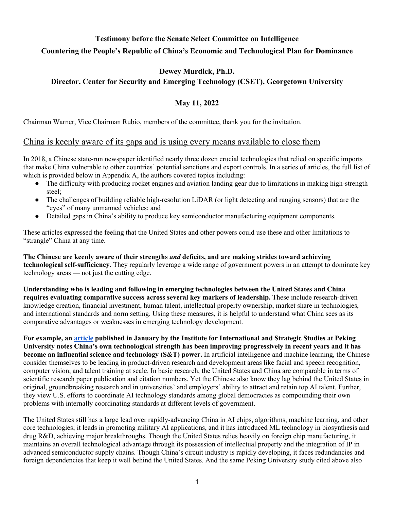# **Testimony before the Senate Select Committee on Intelligence Countering the People's Republic of China's Economic and Technological Plan for Dominance**

#### **Dewey Murdick, Ph.D.**

#### **Director, Center for Security and Emerging Technology (CSET), Georgetown University**

#### **May 11, 2022**

Chairman Warner, Vice Chairman Rubio, members of the committee, thank you for the invitation.

#### China is keenly aware of its gaps and is using every means available to close them

In 2018, a Chinese state-run newspaper identified nearly three dozen crucial technologies that relied on specific imports that make China vulnerable to other countries' potential sanctions and export controls. In a series of articles, the full list of which is provided below in Appendix A, the authors covered topics including:

- The difficulty with producing rocket engines and aviation landing gear due to limitations in making high-strength steel;
- The challenges of building reliable high-resolution LiDAR (or light detecting and ranging sensors) that are the "eyes" of many unmanned vehicles; and
- Detailed gaps in China's ability to produce key semiconductor manufacturing equipment components.

These articles expressed the feeling that the United States and other powers could use these and other limitations to "strangle" China at any time.

**The Chinese are keenly aware of their strengths** *and* **deficits, and are making strides toward achieving technological self-sufficiency.** They regularly leverage a wide range of government powers in an attempt to dominate key technology areas — not just the cutting edge.

**Understanding who is leading and following in emerging technologies between the United States and China requires evaluating comparative success across several key markers of leadership.** These include research-driven knowledge creation, financial investment, human talent, intellectual property ownership, market share in technologies, and international standards and norm setting. Using these measures, it is helpful to understand what China sees as its comparative advantages or weaknesses in emerging technology development.

**For example, an [article](http://cn3.uscnpm.org/model_item.html?action=view&table=article&id=27016) published in January by the Institute for International and Strategic Studies at Peking University notes China's own technological strength has been improving progressively in recent years and it has become an influential science and technology (S&T) power.** In artificial intelligence and machine learning, the Chinese consider themselves to be leading in product-driven research and development areas like facial and speech recognition, computer vision, and talent training at scale. In basic research, the United States and China are comparable in terms of scientific research paper publication and citation numbers. Yet the Chinese also know they lag behind the United States in original, groundbreaking research and in universities' and employers' ability to attract and retain top AI talent. Further, they view U.S. efforts to coordinate AI technology standards among global democracies as compounding their own problems with internally coordinating standards at different levels of government.

The United States still has a large lead over rapidly-advancing China in AI chips, algorithms, machine learning, and other core technologies; it leads in promoting military AI applications, and it has introduced ML technology in biosynthesis and drug R&D, achieving major breakthroughs. Though the United States relies heavily on foreign chip manufacturing, it maintains an overall technological advantage through its possession of intellectual property and the integration of IP in advanced semiconductor supply chains. Though China's circuit industry is rapidly developing, it faces redundancies and foreign dependencies that keep it well behind the United States. And the same Peking University study cited above also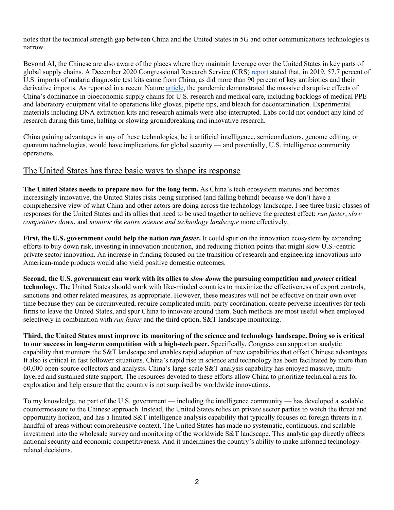notes that the technical strength gap between China and the United States in 5G and other communications technologies is narrow.

Beyond AI, the Chinese are also aware of the places where they maintain leverage over the United States in key parts of global supply chains. A December 2020 Congressional Research Service (CRS[\) report](https://crsreports.congress.gov/product/pdf/R/R46304) stated that, in 2019, 57.7 percent of U.S. imports of malaria diagnostic test kits came from China, as did more than 90 percent of key antibiotics and their derivative imports. As reported in a recent Nature [article,](https://www.nature.com/articles/d41586-021-00613-y) the pandemic demonstrated the massive disruptive effects of China's dominance in bioeconomic supply chains for U.S. research and medical care, including backlogs of medical PPE and laboratory equipment vital to operations like gloves, pipette tips, and bleach for decontamination. Experimental materials including DNA extraction kits and research animals were also interrupted. Labs could not conduct any kind of research during this time, halting or slowing groundbreaking and innovative research.

China gaining advantages in any of these technologies, be it artificial intelligence, semiconductors, genome editing, or quantum technologies, would have implications for global security — and potentially, U.S. intelligence community operations.

#### The United States has three basic ways to shape its response

**The United States needs to prepare now for the long term.** As China's tech ecosystem matures and becomes increasingly innovative, the United States risks being surprised (and falling behind) because we don't have a comprehensive view of what China and other actors are doing across the technology landscape. I see three basic classes of responses for the United States and its allies that need to be used together to achieve the greatest effect: *run faster*, *slow competitors down*, and *monitor the entire science and technology landscape* more effectively.

**First, the U.S. government could help the nation** *run faster***.** It could spur on the innovation ecosystem by expanding efforts to buy down risk, investing in innovation incubation, and reducing friction points that might slow U.S.-centric private sector innovation. An increase in funding focused on the transition of research and engineering innovations into American-made products would also yield positive domestic outcomes.

**Second, the U.S. government can work with its allies to** *slow down* **the pursuing competition and** *protect* **critical technology.** The United States should work with like-minded countries to maximize the effectiveness of export controls, sanctions and other related measures, as appropriate. However, these measures will not be effective on their own over time because they can be circumvented, require complicated multi-party coordination, create perverse incentives for tech firms to leave the United States, and spur China to innovate around them. Such methods are most useful when employed selectively in combination with *run faster* and the third option, S&T landscape monitoring.

**Third, the United States must improve its monitoring of the science and technology landscape. Doing so is critical to our success in long-term competition with a high-tech peer.** Specifically, Congress can support an analytic capability that monitors the S&T landscape and enables rapid adoption of new capabilities that offset Chinese advantages. It also is critical in fast follower situations. China's rapid rise in science and technology has been facilitated by more than 60,000 open-source collectors and analysts. China's large-scale S&T analysis capability has enjoyed massive, multilayered and sustained state support. The resources devoted to these efforts allow China to prioritize technical areas for exploration and help ensure that the country is not surprised by worldwide innovations.

To my knowledge, no part of the U.S. government — including the intelligence community — has developed a scalable countermeasure to the Chinese approach. Instead, the United States relies on private sector parties to watch the threat and opportunity horizon, and has a limited S&T intelligence analysis capability that typically focuses on foreign threats in a handful of areas without comprehensive context. The United States has made no systematic, continuous, and scalable investment into the wholesale survey and monitoring of the worldwide S&T landscape. This analytic gap directly affects national security and economic competitiveness. And it undermines the country's ability to make informed technologyrelated decisions.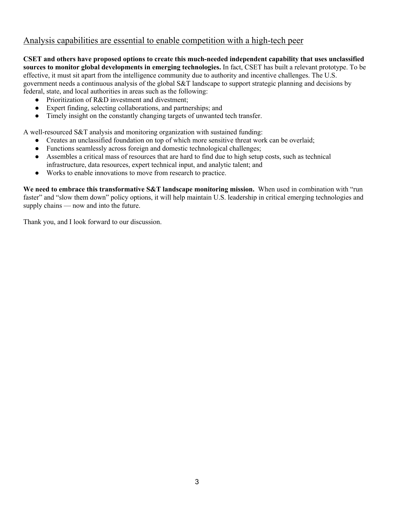### Analysis capabilities are essential to enable competition with a high-tech peer

**CSET and others have proposed options to create this much-needed independent capability that uses unclassified sources to monitor global developments in emerging technologies.** In fact, CSET has built a relevant prototype. To be effective, it must sit apart from the intelligence community due to authority and incentive challenges. The U.S. government needs a continuous analysis of the global S&T landscape to support strategic planning and decisions by federal, state, and local authorities in areas such as the following:

- Prioritization of R&D investment and divestment;
- Expert finding, selecting collaborations, and partnerships; and
- Timely insight on the constantly changing targets of unwanted tech transfer.

A well-resourced S&T analysis and monitoring organization with sustained funding:

- Creates an unclassified foundation on top of which more sensitive threat work can be overlaid;
- Functions seamlessly across foreign and domestic technological challenges;
- Assembles a critical mass of resources that are hard to find due to high setup costs, such as technical infrastructure, data resources, expert technical input, and analytic talent; and
- Works to enable innovations to move from research to practice.

**We need to embrace this transformative S&T landscape monitoring mission.** When used in combination with "run faster" and "slow them down" policy options, it will help maintain U.S. leadership in critical emerging technologies and supply chains — now and into the future.

Thank you, and I look forward to our discussion.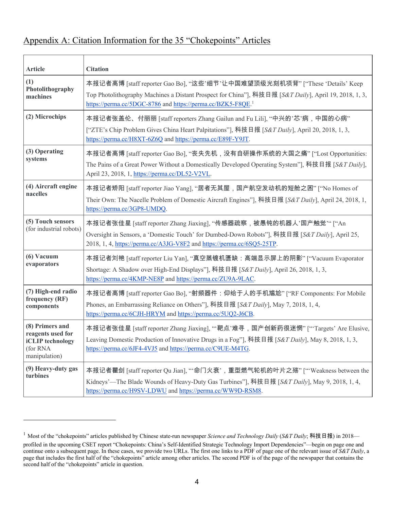# Appendix A: Citation Information for the 35 "Chokepoints" Articles

| <b>Article</b>                                                                               | <b>Citation</b>                                                                                                                                                                                                                                                 |
|----------------------------------------------------------------------------------------------|-----------------------------------------------------------------------------------------------------------------------------------------------------------------------------------------------------------------------------------------------------------------|
| (1)<br>Photolithography<br>machines                                                          | 本报记者高博 [staff reporter Gao Bo], "这些'细节'让中国难望顶级光刻机项背" ["These 'Details' Keep<br>Top Photolithography Machines a Distant Prospect for China"], 科技日报 [S&T Daily], April 19, 2018, 1, 3,<br>https://perma.cc/5DGC-8786 and https://perma.cc/BZK5-F8QE. <sup>1</sup> |
| (2) Microchips                                                                               | 本报记者张盖伦、付丽丽 [staff reporters Zhang Gailun and Fu Lili], "中兴的'芯'病,中国的心病"<br>["ZTE's Chip Problem Gives China Heart Palpitations"], 科技日报 [S&T Daily], April 20, 2018, 1, 3,<br>https://perma.cc/H8XT-6Z6Q and https://perma.cc/E89F-Y9JT.                         |
| (3) Operating<br>systems                                                                     | 本报记者高博 [staff reporter Gao Bo], "丧失先机,没有自研操作系统的大国之痛" ["Lost Opportunities:<br>The Pains of a Great Power Without a Domestically Developed Operating System"], 科技日报 [S&T Daily],<br>April 23, 2018, 1, https://perma.cc/DL52-V2VL.                               |
| (4) Aircraft engine<br>nacelles                                                              | 本报记者矫阳 [staff reporter Jiao Yang], "居者无其屋,国产航空发动机的短舱之困" ["No Homes of<br>Their Own: The Nacelle Problem of Domestic Aircraft Engines"], 科技日报 [S&T Daily], April 24, 2018, 1,<br>https://perma.cc/3GP8-UMDQ.                                                     |
| (5) Touch sensors<br>(for industrial robots)                                                 | 本报记者张佳星 [staff reporter Zhang Jiaxing], "传感器疏察,被愚钝的机器人'国产触觉"" ["An<br>Oversight in Sensors, a 'Domestic Touch' for Dumbed-Down Robots"], 科技日报 [S&T Daily], April 25,<br>2018, 1, 4, https://perma.cc/A3JG-V8F2 and https://perma.cc/6SQ5-25TP.                  |
| (6) Vacuum<br>evaporators                                                                    | 本报记者刘艳 [staff reporter Liu Yan], "真空蒸镀机匮缺:高端显示屏上的阴影" ["Vacuum Evaporator<br>Shortage: A Shadow over High-End Displays"], 科技日报 [S&T Daily], April 26, 2018, 1, 3,<br>https://perma.cc/4KMP-NE8P and https://perma.cc/ZU9A-9LAC.                                  |
| (7) High-end radio<br>frequency (RF)<br>components                                           | 本报记者高博 [staff reporter Gao Bo], "射频器件:仰给于人的手机尴尬" ["RF Components: For Mobile<br>Phones, an Embarrassing Reliance on Others"], 科技日报 [S&T Daily], May 7, 2018, 1, 4,<br>https://perma.cc/6CJH-HRYM and https://perma.cc/5UQ2-J6CB.                                |
| (8) Primers and<br>reagents used for<br><b>iCLIP</b> technology<br>(for RNA<br>manipulation) | 本报记者张佳星 [staff reporter Zhang Jiaxing], "'靶点'难寻, 国产创新药很迷惘" ["'Targets' Are Elusive,<br>Leaving Domestic Production of Innovative Drugs in a Fog"], 科技日报 [S&T Daily], May 8, 2018, 1, 3,<br>https://perma.cc/6JF4-4VJ5 and https://perma.cc/C9UE-M4TG.           |
| (9) Heavy-duty gas<br>turbines                                                               | 本报记者瞿剑 [staff reporter Qu Jian], "'命门火衰', 重型燃气轮机的叶片之殇" ["'Weakness between the<br>Kidneys'—The Blade Wounds of Heavy-Duty Gas Turbines"], 科技日报 [S&T Daily], May 9, 2018, 1, 4,<br>https://perma.cc/H9SV-LDWU and https://perma.cc/WW9D-RSM8.                    |

<sup>&</sup>lt;sup>1</sup> Most of the "chokepoints" articles published by Chinese state-run newspaper *Science and Technology Daily* (*S&T Daily*; 科技日报) in 2018 profiled in the upcoming CSET report "Chokepoints: China's Self-Identified Strategic Technology Import Dependencies"—begin on page one and continue onto a subsequent page. In these cases, we provide two URLs. The first one links to a PDF of page one of the relevant issue of *S&T Daily*, a page that includes the first half of the "chokepoints" article among other articles. The second PDF is of the page of the newspaper that contains the second half of the "chokepoints" article in question.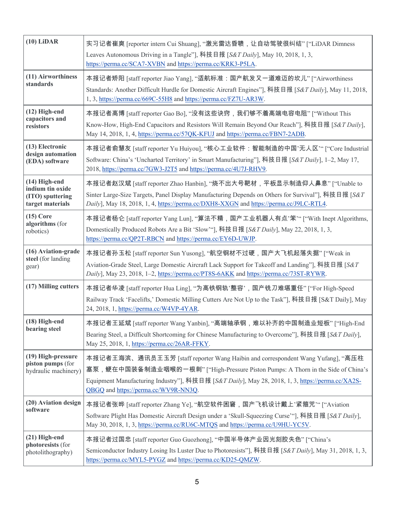| $(10)$ LiDAR                                                              | 实习记者崔爽 [reporter intern Cui Shuang], "激光雷达昏聩,让自动驾驶很纠结" ["LiDAR Dimness<br>Leaves Autonomous Driving in a Tangle"], 科技日报 [S&T Daily], May 10, 2018, 1, 3,<br>https://perma.cc/SCA7-XVBN and https://perma.cc/KRK3-P5LA.                                                                                          |
|---------------------------------------------------------------------------|-----------------------------------------------------------------------------------------------------------------------------------------------------------------------------------------------------------------------------------------------------------------------------------------------------------------|
| (11) Airworthiness<br>standards                                           | 本报记者矫阳 [staff reporter Jiao Yang], "适航标准:国产航发又一道难迈的坎儿" ["Airworthiness<br>Standards: Another Difficult Hurdle for Domestic Aircraft Engines"], 科技日报 [S&T Daily], May 11, 2018,<br>1, 3, https://perma.cc/669C-55H8 and https://perma.cc/FZ7U-AR3W.                                                              |
| $(12)$ High-end<br>capacitors and<br>resistors                            | 本报记者高博 [staff reporter Gao Bo], "没有这些诀窍,我们够不着高端电容电阻" ["Without This<br>Know-How, High-End Capacitors and Resistors Will Remain Beyond Our Reach"], 科技日报 [S&T Daily],<br>May 14, 2018, 1, 4, https://perma.cc/57QK-KFUJ and https://perma.cc/FBN7-2ADB.                                                          |
| (13) Electronic<br>design automation<br>(EDA) software                    | 本报记者俞慧友 [staff reporter Yu Huiyou], "核心工业软件:智能制造的中国'无人区"" ["Core Industrial<br>Software: China's 'Uncharted Territory' in Smart Manufacturing"], 科技日报 [S&T Daily], 1-2, May 17,<br>2018, https://perma.cc/7GW3-J2T5 and https://perma.cc/4U7J-RHV9.                                                             |
| (14) High-end<br>indium tin oxide<br>(ITO) sputtering<br>target materials | 本报记者赵汉斌 [staff reporter Zhao Hanbin], "烧不出大号靶材,平板显示制造仰人鼻息" ["Unable to<br>Sinter Large-Size Targets, Panel Display Manufacturing Depends on Others for Survival"], 科技日报 [S&T]<br>Daily], May 18, 2018, 1, 4, https://perma.cc/DXH8-XXGN and https://perma.cc/J9LC-RTL4.                                         |
| $(15)$ Core<br>algorithms (for<br>robotics)                               | 本报记者杨仑 [staff reporter Yang Lun], "算法不精, 国产工业机器人有点'笨"" ["With Inept Algorithms,<br>Domestically Produced Robots Are a Bit 'Slow'", 科技日报 [S&T Daily], May 22, 2018, 1, 3,<br>https://perma.cc/QP2T-RBCN and https://perma.cc/EY6D-UWJP.                                                                          |
| (16) Aviation-grade<br>steel (for landing<br>gear)                        | 本报记者孙玉松 [staff reporter Sun Yusong], "航空钢材不过硬,国产大飞机起落失据" ["Weak in<br>Aviation-Grade Steel, Large Domestic Aircraft Lack Support for Takeoff and Landing"], 科技日报 [S&T<br>Daily], May 23, 2018, 1-2, https://perma.cc/PT8S-6AKK and https://perma.cc/73ST-RYWR.                                                  |
| (17) Milling cutters                                                      | 本报记者华凌 [staff reporter Hua Ling], "为高铁钢轨'整容', 国产铣刀难堪重任" ["For High-Speed<br>Railway Track 'Facelifts,' Domestic Milling Cutters Are Not Up to the Task"], 科技日报 [S&T Daily], May<br>24, 2018, 1, https://perma.cc/W4VP-4YAR.                                                                                     |
| (18) High-end<br>bearing steel                                            | 本报记者王延斌 [staff reporter Wang Yanbin], "高端轴承钢,难以补齐的中国制造业短板" ["High-End<br>Bearing Steel, a Difficult Shortcoming for Chinese Manufacturing to Overcome"], 科技日报 [S&T Daily],<br>May 25, 2018, 1, https://perma.cc/26AR-FFKY.                                                                                      |
| (19) High-pressure<br>piston pumps (for<br>hydraulic machinery)           | 本报记者王海滨、通讯员王玉芳 [staff reporter Wang Haibin and correspondent Wang Yufang], "高压柱<br>塞泵,鲠在中国装备制造业咽喉的一根刺" ["High-Pressure Piston Pumps: A Thorn in the Side of China's<br>Equipment Manufacturing Industry"], 科技日报 [S&T Daily], May 28, 2018, 1, 3, https://perma.cc/XA2S-<br>QBGQ and https://perma.cc/WV9R-NN3Q. |
| (20) Aviation design<br>software                                          | 本报记者张晔 [staff reporter Zhang Ye], "航空软件困窘,国产飞机设计戴上'紧箍咒'" ["Aviation<br>Software Plight Has Domestic Aircraft Design under a 'Skull-Squeezing Curse'"], 科技日报 [S&T Daily],<br>May 30, 2018, 1, 3, https://perma.cc/RU6C-MTQS and https://perma.cc/U9HU-YC5V.                                                      |
| (21) High-end<br>photoresists (for<br>photolithography)                   | 本报记者过国忠 [staff reporter Guo Guozhong], "中国半导体产业因光刻胶失色" ["China's<br>Semiconductor Industry Losing Its Luster Due to Photoresists"], 科技日报 [S&T Daily], May 31, 2018, 1, 3,<br>https://perma.cc/MYL5-PYGZ and https://perma.cc/KD25-QMZW.                                                                         |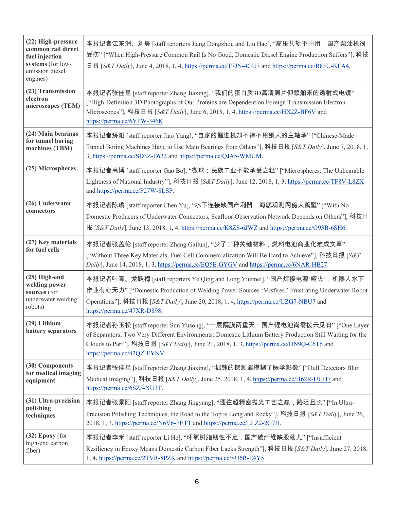| (22) High-pressure<br>common rail direct<br>fuel injection<br>systems (for low-<br>emission diesel<br>engines) | 本报记者江东洲、刘昊 [staff reporters Jiang Dongzhou and Liu Hao], "高压共轨不中用,国产柴油机很<br>受伤" ["When High-Pressure Common Rail Is No Good, Domestic Diesel Engine Production Suffers"], 科技<br>日报 [S&T Daily], June 4, 2018, 1, 4, https://perma.cc/T7JN-4GU7 and https://perma.cc/R83U-KFA4.                                |
|----------------------------------------------------------------------------------------------------------------|---------------------------------------------------------------------------------------------------------------------------------------------------------------------------------------------------------------------------------------------------------------------------------------------------------------|
| (23) Transmission<br>electron<br>microscopes (TEM)                                                             | 本报记者张佳星 [staff reporter Zhang Jiaxing], "我们的蛋白质3D高清照片仰赖舶来的透射式电镜"<br>["High-Definition 3D Photographs of Our Proteins are Dependent on Foreign Transmission Electron<br>Microscopes"], 科技日报 [S&T Daily], June 6, 2018, 1, 4, https://perma.cc/HX2Z-BF6V and<br>https://perma.cc/6YPW-346K.                     |
| (24) Main bearings<br>for tunnel boring<br>machines (TBM)                                                      | 本报记者矫阳 [staff reporter Jiao Yang], "自家的掘进机却不得不用别人的主轴承" ["Chinese-Made<br>Tunnel Boring Machines Have to Use Main Bearings from Others"], 科技日报 [S&T Daily], June 7, 2018, 1,<br>3, https://perma.cc/SD3Z-E622 and https://perma.cc/QJA5-WMUM.                                                                  |
| (25) Microspheres                                                                                              | 本报记者高博 [staff reporter Gao Bo], "微球:民族工业不能承受之轻" ["Microspheres: The Unbearable<br>Lightness of National Industry"], 科技日报 [S&T Daily], June 12, 2018, 1, 3, https://perma.cc/TF8V-L8ZX<br>and https://perma.cc/P27W-8LSP.                                                                                      |
| (26) Underwater<br>connectors                                                                                  | 本报记者陈瑜 [staff reporter Chen Yu], "水下连接缺国产利器,海底观测网傍人篱壁" ["With No<br>Domestic Producers of Underwater Connectors, Seafloor Observation Network Depends on Others"], 科技日<br>报 [S&T Daily], June 13, 2018, 1, 4, https://perma.cc/K8ZS-6JWZ and https://perma.cc/G93B-6SH6.                                      |
| (27) Key materials<br>for fuel cells                                                                           | 本报记者张盖伦 [staff reporter Zhang Gailun], "少了三种关键材料,燃料电池商业化难成文章"<br>["Without Three Key Materials, Fuel Cell Commercialization Will Be Hard to Achieve"], 科技日报 [S&T<br>Daily], June 14, 2018, 1, 3, https://perma.cc/EQ5E-GYGV and https://perma.cc/6NAR-HB27.                                                   |
| (28) High-end<br>welding power<br>sources (for<br>underwater welding<br>robots)                                | 本报记者叶青、龙跃梅 [staff reporters Ye Qing and Long Yuemei], "国产焊接电源'哑火',机器人水下<br>作业有心无力" ["Domestic Production of Welding Power Sources 'Misfires,' Frustrating Underwater Robot<br>Operations"], 科技日报 [S&T Daily], June 20, 2018, 1, 4, https://perma.cc/UZG7-NBU7 and<br>https://perma.cc/47XR-D898.              |
| (29) Lithium<br>battery separators                                                                             | 本报记者孙玉松 [staff reporter Sun Yusong], "一层隔膜两重天:国产锂电池尚需拨云见日" ["One Layer<br>of Separators, Two Very Different Environments: Domestic Lithium Battery Production Still Waiting for the<br>Clouds to Part"], 科技日报 [S&T Daily], June 21, 2018, 1, 3, https://perma.cc/DN9Q-C6T6 and<br>https://perma.cc/42QZ-EYNV. |
| (30) Components<br>for medical imaging<br>equipment                                                            | 本报记者张佳星 [staff reporter Zhang Jiaxing], "拙钝的探测器模糊了医学影像" ["Dull Detectors Blur<br>Medical Imaging"], 科技日报 [S&T Daily], June 25, 2018, 1, 4, https://perma.cc/H62R-UUH7 and<br>https://perma.cc/6SZ3-XU3T.                                                                                                      |
| (31) Ultra-precision<br>polishing<br>techniques                                                                | 本报记者张景阳 [staff reporter Zhang Jingyang], "通往超精密抛光工艺之巅, 路阻且长" ["In Ultra-<br>Precision Polishing Techniques, the Road to the Top is Long and Rocky"], 科技日报 [S&T Daily], June 26,<br>2018, 1, 3, https://perma.cc/N6V6-FETT and https://perma.cc/LLZ2-2G7H.                                                     |
| $(32)$ Epoxy (for<br>high-end carbon<br>fiber)                                                                 | 本报记者李禾 [staff reporter Li He], "环氧树脂韧性不足,国产碳纤维缺股劲儿" ["Insufficient<br>Resiliency in Epoxy Means Domestic Carbon Fiber Lacks Strength"], 科技日报 [S&T Daily], June 27, 2018,<br>1, 4, https://perma.cc/2TVR-8PZK and https://perma.cc/SU6R-E4Y5.                                                                  |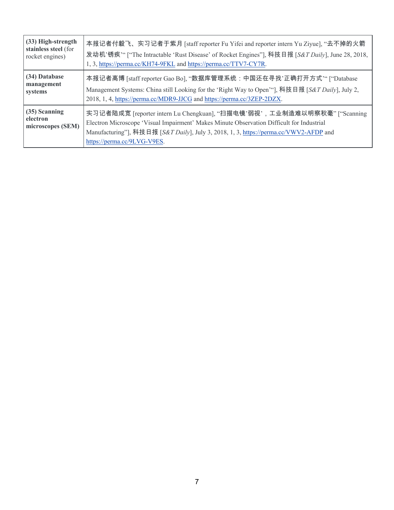| (33) High-strength                             | 本报记者付毅飞、实习记者于紫月 [staff reporter Fu Yifei and reporter intern Yu Ziyue], "去不掉的火箭                                                                                                                                                                                                               |
|------------------------------------------------|-----------------------------------------------------------------------------------------------------------------------------------------------------------------------------------------------------------------------------------------------------------------------------------------------|
| stainless steel (for                           | 发动机'锈疾" ["The Intractable 'Rust Disease' of Rocket Engines"], 科技日报 [S&T Daily], June 28, 2018,                                                                                                                                                                                                |
| rocket engines)                                | 1, 3, https://perma.cc/KH74-9FKL and https://perma.cc/TTV7-CY7R.                                                                                                                                                                                                                              |
| (34) Database                                  | 本报记者高博 [staff reporter Gao Bo], "数据库管理系统:中国还在寻找'正确打开方式'" ["Database                                                                                                                                                                                                                           |
| management                                     | Management Systems: China still Looking for the 'Right Way to Open'"], 科技日报 [S&T Daily], July 2,                                                                                                                                                                                              |
| systems                                        | 2018, 1, 4, https://perma.cc/MDR9-JJCG and https://perma.cc/3ZEP-2DZX.                                                                                                                                                                                                                        |
| (35) Scanning<br>electron<br>microscopes (SEM) | 实习记者陆成宽 [reporter intern Lu Chengkuan], "扫描电镜'弱视',工业制造难以明察秋毫" ["Scanning<br>Electron Microscope 'Visual Impairment' Makes Minute Observation Difficult for Industrial<br>Manufacturing"], 科技日报 [S&T Daily], July 3, 2018, 1, 3, https://perma.cc/VWV2-AFDP and<br>https://perma.cc/9LVG-V9ES. |